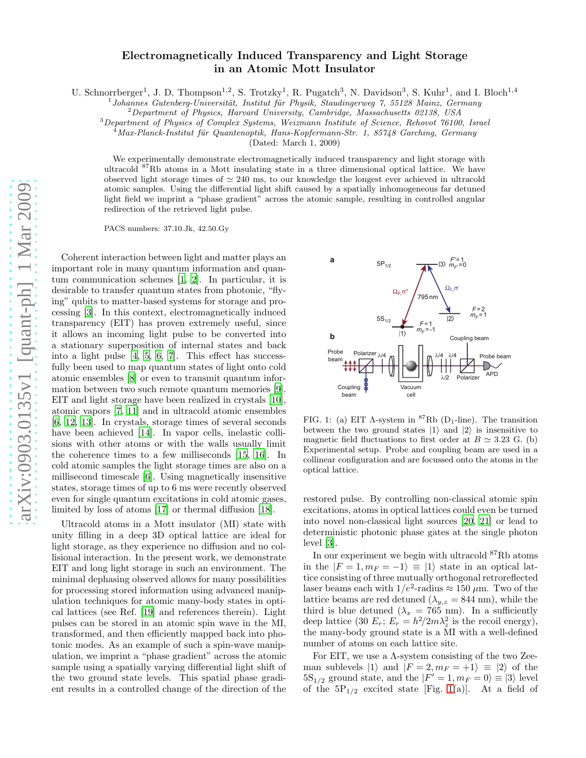## Electromagnetically Induced Transparency and Light Storage in an Atomic Mott Insulator

U. Schnorrberger<sup>1</sup>, J. D. Thompson<sup>1,2</sup>, S. Trotzky<sup>1</sup>, R. Pugatch<sup>3</sup>, N. Davidson<sup>3</sup>, S. Kuhr<sup>1</sup>, and I. Bloch<sup>1,4</sup>

 $^{1}$ Johannes Gutenberg-Universität, Institut für Physik, Staudingerweg 7, 55128 Mainz, Germany

 ${}^{2}$ Department of Physics, Harvard University, Cambridge, Massachusetts 02138, USA

<sup>3</sup>Department of Physics of Complex Systems, Weizmann Institute of Science, Rehovot 76100, Israel

 $Max-Planck-Institut$  für Quantenoptik, Hans-Kopfermann-Str. 1, 85748 Garching, Germany

(Dated: March 1, 2009)

We experimentally demonstrate electromagnetically induced transparency and light storage with ultracold <sup>87</sup>Rb atoms in a Mott insulating state in a three dimensional optical lattice. We have observed light storage times of  $\simeq 240$  ms, to our knowledge the longest ever achieved in ultracold atomic samples. Using the differential light shift caused by a spatially inhomogeneous far detuned light field we imprint a "phase gradient" across the atomic sample, resulting in controlled angular redirection of the retrieved light pulse.

PACS numbers: 37.10.Jk, 42.50.Gy

Coherent interaction between light and matter plays an important role in many quantum information and quantum communication schemes [\[1](#page-3-0), [2](#page-3-1)]. In particular, it is desirable to transfer quantum states from photonic, "flying" qubits to matter-based systems for storage and processing [\[3\]](#page-3-2). In this context, electromagnetically induced transparency (EIT) has proven extremely useful, since it allows an incoming light pulse to be converted into a stationary superposition of internal states and back into a light pulse [\[4,](#page-3-3) [5](#page-3-4), [6,](#page-3-5) [7](#page-3-6)]. This effect has successfully been used to map quantum states of light onto cold atomic ensembles [\[8\]](#page-3-7) or even to transmit quantum information between two such remote quantum memories [\[9\]](#page-3-8). EIT and light storage have been realized in crystals [\[10\]](#page-3-9), atomic vapors [\[7,](#page-3-6) [11\]](#page-3-10) and in ultracold atomic ensembles [\[6,](#page-3-5) [12](#page-3-11), [13](#page-3-12)]. In crystals, storage times of several seconds have been achieved [\[14\]](#page-3-13). In vapor cells, inelastic collisions with other atoms or with the walls usually limit the coherence times to a few milliseconds [\[15,](#page-3-14) [16](#page-3-15)]. In cold atomic samples the light storage times are also on a millisecond timescale [\[6\]](#page-3-5). Using magnetically insensitive states, storage times of up to 6 ms were recently observed even for single quantum excitations in cold atomic gases, limited by loss of atoms [\[17\]](#page-3-16) or thermal diffusion [\[18](#page-3-17)].

Ultracold atoms in a Mott insulator (MI) state with unity filling in a deep 3D optical lattice are ideal for light storage, as they experience no diffusion and no collisional interaction. In the present work, we demonstrate EIT and long light storage in such an environment. The minimal dephasing observed allows for many possibilities for processing stored information using advanced manipulation techniques for atomic many-body states in optical lattices (see Ref. [\[19\]](#page-3-18) and references therein). Light pulses can be stored in an atomic spin wave in the MI, transformed, and then efficiently mapped back into photonic modes. As an example of such a spin-wave manipulation, we imprint a "phase gradient" across the atomic sample using a spatially varying differential light shift of the two ground state levels. This spatial phase gradient results in a controlled change of the direction of the



<span id="page-0-0"></span>FIG. 1: (a) EIT  $\Lambda$ -system in <sup>87</sup>Rb (D<sub>1</sub>-line). The transition between the two ground states  $|1\rangle$  and  $|2\rangle$  is insensitive to magnetic field fluctuations to first order at  $B \simeq 3.23$  G. (b) Experimental setup. Probe and coupling beam are used in a collinear configuration and are focussed onto the atoms in the optical lattice.

restored pulse. By controlling non-classical atomic spin excitations, atoms in optical lattices could even be turned into novel non-classical light sources [\[20,](#page-3-19) [21\]](#page-3-20) or lead to deterministic photonic phase gates at the single photon level [\[3\]](#page-3-2).

In our experiment we begin with ultracold  ${}^{87}Rb$  atoms in the  $|F = 1, m_F = -1\rangle \equiv |1\rangle$  state in an optical lattice consisting of three mutually orthogonal retroreflected laser beams each with  $1/e^2$ -radius  $\approx 150 \,\mu$ m. Two of the lattice beams are red detuned  $(\lambda_{y,z} = 844 \text{ nm})$ , while the third is blue detuned ( $\lambda_x = 765$  nm). In a sufficiently deep lattice (30  $E_r$ ;  $E_r = h^2/2m\lambda_z^2$  is the recoil energy), the many-body ground state is a MI with a well-defined number of atoms on each lattice site.

For EIT, we use a  $\Lambda$ -system consisting of the two Zeeman sublevels  $|1\rangle$  and  $|F = 2, m_F = +1\rangle \equiv |2\rangle$  of the  $5S_{1/2}$  ground state, and the  $|F'=1, m_F = 0\rangle \equiv |3\rangle$  level of the  $5P_{1/2}$  excited state [Fig. [1\(](#page-0-0)a)]. At a field of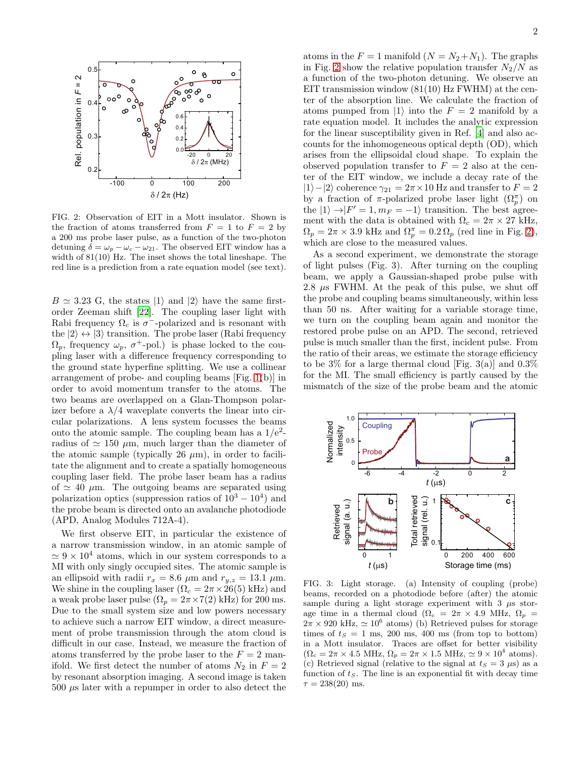

<span id="page-1-0"></span>FIG. 2: Observation of EIT in a Mott insulator. Shown is the fraction of atoms transferred from  $F = 1$  to  $F = 2$  by a 200 ms probe laser pulse, as a function of the two-photon detuning  $\delta = \omega_p - \omega_c - \omega_{21}$ . The observed EIT window has a width of 81(10) Hz. The inset shows the total lineshape. The red line is a prediction from a rate equation model (see text).

 $B \simeq 3.23$  G, the states  $|1\rangle$  and  $|2\rangle$  have the same firstorder Zeeman shift [\[22\]](#page-3-21). The coupling laser light with Rabi frequency  $\Omega_c$  is  $\sigma^-$ -polarized and is resonant with the  $|2\rangle \leftrightarrow |3\rangle$  transition. The probe laser (Rabi frequency  $\Omega_p$ , frequency  $\omega_p$ ,  $\sigma^+$ -pol.) is phase locked to the coupling laser with a difference frequency corresponding to the ground state hyperfine splitting. We use a collinear arrangement of probe- and coupling beams [Fig. [1\(](#page-0-0)b)] in order to avoid momentum transfer to the atoms. The two beams are overlapped on a Glan-Thompson polarizer before a  $\lambda/4$  waveplate converts the linear into circular polarizations. A lens system focusses the beams onto the atomic sample. The coupling beam has a  $1/e^2$ radius of  $\simeq$  150  $\mu$ m, much larger than the diameter of the atomic sample (typically 26  $\mu$ m), in order to facilitate the alignment and to create a spatially homogeneous coupling laser field. The probe laser beam has a radius of  $\simeq$  40  $\mu$ m. The outgoing beams are separated using polarization optics (suppression ratios of  $10^3 - 10^4$ ) and the probe beam is directed onto an avalanche photodiode (APD, Analog Modules 712A-4).

We first observe EIT, in particular the existence of a narrow transmission window, in an atomic sample of  $\simeq 9 \times 10^4$  atoms, which in our system corresponds to a MI with only singly occupied sites. The atomic sample is an ellipsoid with radii  $r_x = 8.6 \mu m$  and  $r_{y,z} = 13.1 \mu m$ . We shine in the coupling laser  $(\Omega_c = 2\pi \times 26(5) \text{ kHz})$  and a weak probe laser pulse  $(\Omega_p = 2\pi \times 7(2) \text{ kHz})$  for 200 ms. Due to the small system size and low powers necessary to achieve such a narrow EIT window, a direct measurement of probe transmission through the atom cloud is difficult in our case. Instead, we measure the fraction of atoms transferred by the probe laser to the  $F = 2$  manifold. We first detect the number of atoms  $N_2$  in  $F = 2$ by resonant absorption imaging. A second image is taken  $500 \mu s$  later with a repumper in order to also detect the

atoms in the  $F = 1$  manifold  $(N = N_2 + N_1)$ . The graphs in Fig. [2](#page-1-0) show the relative population transfer  $N_2/N$  as a function of the two-photon detuning. We observe an EIT transmission window  $(81(10)$  Hz FWHM) at the center of the absorption line. We calculate the fraction of atoms pumped from  $|1\rangle$  into the  $F = 2$  manifold by a rate equation model. It includes the analytic expression for the linear susceptibility given in Ref. [\[4\]](#page-3-3) and also accounts for the inhomogeneous optical depth (OD), which arises from the ellipsoidal cloud shape. To explain the observed population transfer to  $F = 2$  also at the center of the EIT window, we include a decay rate of the  $|1\rangle-|2\rangle$  coherence  $\gamma_{21} = 2\pi \times 10$  Hz and transfer to  $F = 2$ by a fraction of  $\pi$ -polarized probe laser light  $(\Omega_p^{\pi})$  on the  $|1\rangle \rightarrow |F'=1, m_F = -1\rangle$  transition. The best agreement with the data is obtained with  $\Omega_c = 2\pi \times 27$  kHz,  $\Omega_p = 2\pi \times 3.9$  kHz and  $\Omega_p^{\pi} = 0.2 \Omega_p$  (red line in Fig. [2\)](#page-1-0), which are close to the measured values.

As a second experiment, we demonstrate the storage of light pulses (Fig. 3). After turning on the coupling beam, we apply a Gaussian-shaped probe pulse with 2.8  $\mu$ s FWHM. At the peak of this pulse, we shut off the probe and coupling beams simultaneously, within less than 50 ns. After waiting for a variable storage time, we turn on the coupling beam again and monitor the restored probe pulse on an APD. The second, retrieved pulse is much smaller than the first, incident pulse. From the ratio of their areas, we estimate the storage efficiency to be  $3\%$  for a large thermal cloud [Fig. 3(a)] and  $0.3\%$ for the MI. The small efficiency is partly caused by the mismatch of the size of the probe beam and the atomic



<span id="page-1-1"></span>FIG. 3: Light storage. (a) Intensity of coupling (probe) beams, recorded on a photodiode before (after) the atomic sample during a light storage experiment with  $3 \mu s$  storage time in a thermal cloud ( $\Omega_c = 2\pi \times 4.9$  MHz,  $\Omega_p =$  $2\pi \times 920$  kHz,  $\simeq 10^6$  atoms) (b) Retrieved pulses for storage times of  $t_s = 1$  ms, 200 ms, 400 ms (from top to bottom) in a Mott insulator. Traces are offset for better visibility  $(\Omega_c = 2\pi \times 4.5 \text{ MHz}, \Omega_p = 2\pi \times 1.5 \text{ MHz}, \approx 9 \times 10^4 \text{ atoms}).$ (c) Retrieved signal (relative to the signal at  $t_s = 3 \mu s$ ) as a function of  $t<sub>S</sub>$ . The line is an exponential fit with decay time  $\tau = 238(20)$  ms.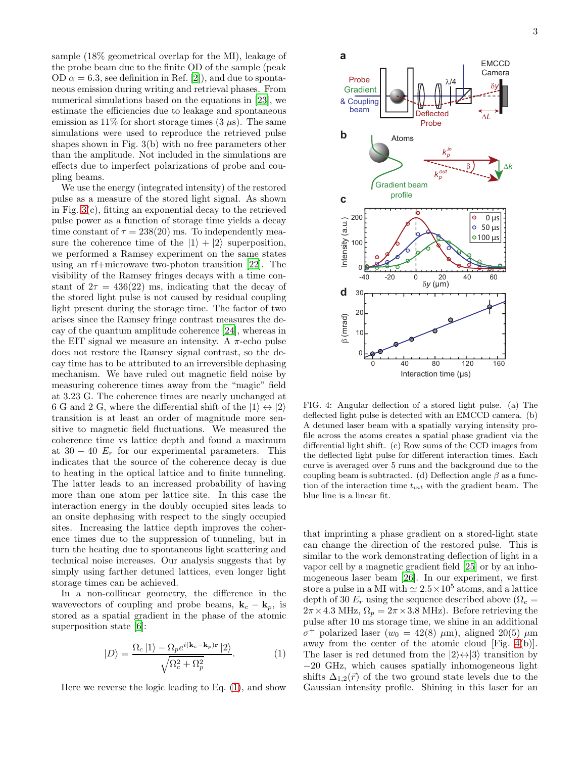sample (18% geometrical overlap for the MI), leakage of the probe beam due to the finite OD of the sample (peak OD  $\alpha = 6.3$ , see definition in Ref. [\[2\]](#page-3-1)), and due to spontaneous emission during writing and retrieval phases. From numerical simulations based on the equations in [\[23\]](#page-3-22), we estimate the efficiencies due to leakage and spontaneous emission as 11% for short storage times  $(3 \mu s)$ . The same simulations were used to reproduce the retrieved pulse shapes shown in Fig. 3(b) with no free parameters other than the amplitude. Not included in the simulations are effects due to imperfect polarizations of probe and coupling beams.

We use the energy (integrated intensity) of the restored pulse as a measure of the stored light signal. As shown in Fig. [3\(](#page-1-1)c), fitting an exponential decay to the retrieved pulse power as a function of storage time yields a decay time constant of  $\tau = 238(20)$  ms. To independently measure the coherence time of the  $|1\rangle + |2\rangle$  superposition, we performed a Ramsey experiment on the same states using an rf+microwave two-photon transition [\[22](#page-3-21)]. The visibility of the Ramsey fringes decays with a time constant of  $2\tau = 436(22)$  ms, indicating that the decay of the stored light pulse is not caused by residual coupling light present during the storage time. The factor of two arises since the Ramsey fringe contrast measures the decay of the quantum amplitude coherence [\[24\]](#page-3-23), whereas in the EIT signal we measure an intensity. A  $\pi$ -echo pulse does not restore the Ramsey signal contrast, so the decay time has to be attributed to an irreversible dephasing mechanism. We have ruled out magnetic field noise by measuring coherence times away from the "magic" field at 3.23 G. The coherence times are nearly unchanged at 6 G and 2 G, where the differential shift of the  $|1\rangle \leftrightarrow |2\rangle$ transition is at least an order of magnitude more sensitive to magnetic field fluctuations. We measured the coherence time vs lattice depth and found a maximum at  $30 - 40$   $E_r$  for our experimental parameters. This indicates that the source of the coherence decay is due to heating in the optical lattice and to finite tunneling. The latter leads to an increased probability of having more than one atom per lattice site. In this case the interaction energy in the doubly occupied sites leads to an onsite dephasing with respect to the singly occupied sites. Increasing the lattice depth improves the coherence times due to the suppression of tunneling, but in turn the heating due to spontaneous light scattering and technical noise increases. Our analysis suggests that by simply using farther detuned lattices, even longer light storage times can be achieved.

In a non-collinear geometry, the difference in the wavevectors of coupling and probe beams,  $\mathbf{k}_c - \mathbf{k}_p$ , is stored as a spatial gradient in the phase of the atomic superposition state [\[6\]](#page-3-5):

<span id="page-2-0"></span>
$$
|D\rangle = \frac{\Omega_c \left|1\right\rangle - \Omega_p e^{i(\mathbf{k}_c - \mathbf{k}_p)\mathbf{r}} \left|2\right\rangle}{\sqrt{\Omega_c^2 + \Omega_p^2}}.
$$
 (1)

Here we reverse the logic leading to Eq. [\(1\)](#page-2-0), and show



<span id="page-2-1"></span>FIG. 4: Angular deflection of a stored light pulse. (a) The deflected light pulse is detected with an EMCCD camera. (b) A detuned laser beam with a spatially varying intensity profile across the atoms creates a spatial phase gradient via the differential light shift. (c) Row sums of the CCD images from the deflected light pulse for different interaction times. Each curve is averaged over 5 runs and the background due to the coupling beam is subtracted. (d) Deflection angle  $\beta$  as a function of the interaction time  $t_{int}$  with the gradient beam. The blue line is a linear fit.

that imprinting a phase gradient on a stored-light state can change the direction of the restored pulse. This is similar to the work demonstrating deflection of light in a vapor cell by a magnetic gradient field [\[25](#page-3-24)] or by an inhomogeneous laser beam [\[26\]](#page-3-25). In our experiment, we first store a pulse in a MI with  $\simeq 2.5 \times 10^5$  atoms, and a lattice depth of 30  $E_r$  using the sequence described above ( $\Omega_c$  =  $2\pi \times 4.3$  MHz,  $\Omega_p = 2\pi \times 3.8$  MHz). Before retrieving the pulse after 10 ms storage time, we shine in an additional  $\sigma^+$  polarized laser (*w*<sub>0</sub> = 42(8) μm), aligned 20(5) μm away from the center of the atomic cloud [Fig. [4\(](#page-2-1)b)]. The laser is red detuned from the  $|2\rangle \leftrightarrow |3\rangle$  transition by −20 GHz, which causes spatially inhomogeneous light shifts  $\Delta_{1,2}(\vec{r})$  of the two ground state levels due to the Gaussian intensity profile. Shining in this laser for an